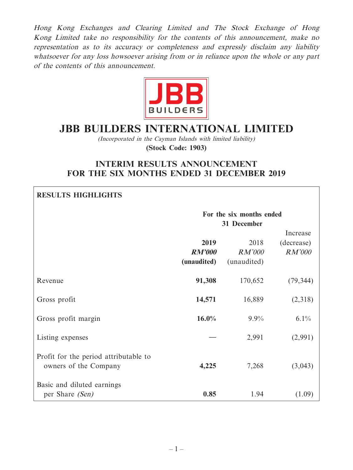Hong Kong Exchanges and Clearing Limited and The Stock Exchange of Hong Kong Limited take no responsibility for the contents of this announcement, make no representation as to its accuracy or completeness and expressly disclaim any liability whatsoever for any loss howsoever arising from or in reliance upon the whole or any part of the contents of this announcement.



# **JBB BUILDERS INTERNATIONAL LIMITED**

(Incorporated in the Cayman Islands with limited liability)

**(Stock Code: 1903)**

# **INTERIM RESULTS ANNOUNCEMENT FOR THE SIX MONTHS ENDED 31 DECEMBER 2019**

| <b>RESULTS HIGHLIGHTS</b>                                      |                                      |                                         |                                  |
|----------------------------------------------------------------|--------------------------------------|-----------------------------------------|----------------------------------|
|                                                                |                                      | For the six months ended<br>31 December |                                  |
|                                                                | 2019<br><b>RM'000</b><br>(unaudited) | 2018<br><b>RM'000</b><br>(unaudited)    | Increase<br>(decrease)<br>RM'000 |
| Revenue                                                        | 91,308                               | 170,652                                 | (79, 344)                        |
| Gross profit                                                   | 14,571                               | 16,889                                  | (2,318)                          |
| Gross profit margin                                            | $16.0\%$                             | $9.9\%$                                 | $6.1\%$                          |
| Listing expenses                                               |                                      | 2,991                                   | (2,991)                          |
| Profit for the period attributable to<br>owners of the Company | 4,225                                | 7,268                                   | (3,043)                          |
| Basic and diluted earnings<br>per Share (Sen)                  | 0.85                                 | 1.94                                    | (1.09)                           |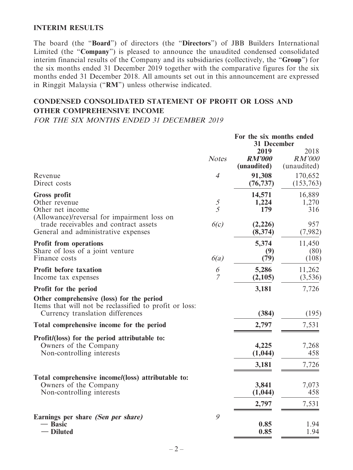### **INTERIM RESULTS**

The board (the "**Board**") of directors (the "**Directors**") of JBB Builders International Limited (the "**Company**") is pleased to announce the unaudited condensed consolidated interim financial results of the Company and its subsidiaries (collectively, the "**Group**") for the six months ended 31 December 2019 together with the comparative figures for the six months ended 31 December 2018. All amounts set out in this announcement are expressed in Ringgit Malaysia ("**RM**") unless otherwise indicated.

# **CONDENSED CONSOLIDATED STATEMENT OF PROFIT OR LOSS AND OTHER COMPREHENSIVE INCOME**

FOR THE SIX MONTHS ENDED 31 DECEMBER 2019

|                                                                                                                                         |                     | For the six months ended<br><b>31 December</b> |                         |  |
|-----------------------------------------------------------------------------------------------------------------------------------------|---------------------|------------------------------------------------|-------------------------|--|
|                                                                                                                                         |                     | 2019                                           | 2018                    |  |
|                                                                                                                                         | <b>Notes</b>        | <b>RM'000</b><br>(unaudited)                   | RM'000<br>(unaudited)   |  |
| Revenue<br>Direct costs                                                                                                                 | $\overline{4}$      | 91,308<br>(76, 737)                            | 170,652<br>(153,763)    |  |
| <b>Gross profit</b><br>Other revenue<br>Other net income<br>(Allowance)/reversal for impairment loss on                                 | $\mathcal{S}$<br>5  | 14,571<br>1,224<br>179                         | 16,889<br>1,270<br>316  |  |
| trade receivables and contract assets<br>General and administrative expenses                                                            | 6(c)                | (2,226)<br>(8, 374)                            | 957<br>(7,982)          |  |
| <b>Profit from operations</b><br>Share of loss of a joint venture<br>Finance costs                                                      | 6(a)                | 5,374<br>(9)<br>(79)                           | 11,450<br>(80)<br>(108) |  |
| <b>Profit before taxation</b><br>Income tax expenses                                                                                    | 6<br>$\overline{7}$ | 5,286<br>(2,105)                               | 11,262<br>(3, 536)      |  |
| Profit for the period                                                                                                                   |                     | 3,181                                          | 7,726                   |  |
| Other comprehensive (loss) for the period<br>Items that will not be reclassified to profit or loss:<br>Currency translation differences |                     | (384)                                          | (195)                   |  |
| Total comprehensive income for the period                                                                                               |                     | 2,797                                          | 7,531                   |  |
| Profit/(loss) for the period attributable to:<br>Owners of the Company<br>Non-controlling interests                                     |                     | 4,225<br>(1,044)<br>3,181                      | 7,268<br>458<br>7,726   |  |
|                                                                                                                                         |                     |                                                |                         |  |
| Total comprehensive income/(loss) attributable to:<br>Owners of the Company<br>Non-controlling interests                                |                     | 3,841<br>(1,044)                               | 7,073<br>458            |  |
|                                                                                                                                         |                     | 2,797                                          | 7,531                   |  |
| Earnings per share (Sen per share)<br>- Basic<br>– Diluted                                                                              | 9                   | 0.85<br>0.85                                   | 1.94<br>1.94            |  |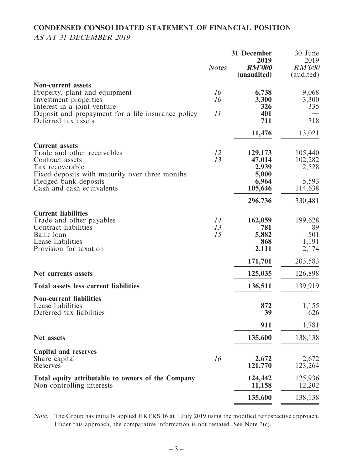# **CONDENSED CONSOLIDATED STATEMENT OF FINANCIAL POSITION** AS AT 31 DECEMBER 2019

|                                                                                                                                                                                                    | <b>Notes</b>   | 31 December<br>2019<br><b>RM'000</b><br>(unaudited)     | 30 June<br>2019<br><b>RM'000</b><br>(audited)   |
|----------------------------------------------------------------------------------------------------------------------------------------------------------------------------------------------------|----------------|---------------------------------------------------------|-------------------------------------------------|
| <b>Non-current assets</b><br>Property, plant and equipment<br>Investment properties                                                                                                                | 10<br>10       | 6,738<br>3,300                                          | 9,068<br>3,300                                  |
| Interest in a joint venture<br>Deposit and prepayment for a life insurance policy<br>Deferred tax assets                                                                                           | 11             | 326<br>401<br>711                                       | 335<br>318                                      |
|                                                                                                                                                                                                    |                | 11,476                                                  | 13,021                                          |
| <b>Current assets</b><br>Trade and other receivables<br>Contract assets<br>Tax recoverable<br>Fixed deposits with maturity over three months<br>Pledged bank deposits<br>Cash and cash equivalents | 12<br>13       | 129,173<br>47,014<br>2,939<br>5,000<br>6,964<br>105,646 | 105,440<br>102,282<br>2,528<br>5,593<br>114,638 |
|                                                                                                                                                                                                    |                | 296,736                                                 | 330,481                                         |
| <b>Current liabilities</b><br>Trade and other payables<br>Contract liabilities<br>Bank loan<br>Lease liabilities<br>Provision for taxation                                                         | 14<br>13<br>15 | 162,059<br>781<br>5,882<br>868<br>2,111                 | 199,628<br>89<br>501<br>1,191<br>2,174          |
|                                                                                                                                                                                                    |                | 171,701                                                 | 203,583                                         |
| Net currents assets                                                                                                                                                                                |                | 125,035                                                 | 126,898                                         |
| <b>Total assets less current liabilities</b>                                                                                                                                                       |                | 136,511                                                 | 139,919                                         |
| <b>Non-current liabilities</b><br>Lease liabilities<br>Deferred tax liabilities                                                                                                                    |                | 872<br>39                                               | 1,155<br>626                                    |
|                                                                                                                                                                                                    |                | 911                                                     | 1,781                                           |
| Net assets                                                                                                                                                                                         |                | 135,600                                                 | 138,138                                         |
| <b>Capital and reserves</b><br>Share capital<br>Reserves                                                                                                                                           | 16             | 2,672<br>121,770                                        | 2,672<br>123,264                                |
| Total equity attributable to owners of the Company<br>Non-controlling interests                                                                                                                    |                | 124,442<br>11,158                                       | 125,936<br>12,202                               |
|                                                                                                                                                                                                    |                | 135,600                                                 | 138,138                                         |

Note: The Group has initially applied HKFRS 16 at 1 July 2019 using the modified retrospective approach. Under this approach, the comparative information is not restated. See Note 3(c).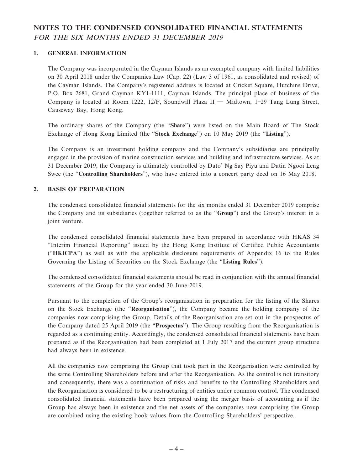# **NOTES TO THE CONDENSED CONSOLIDATED FINANCIAL STATEMENTS** FOR THE SIX MONTHS ENDED 31 DECEMBER 2019

#### **1. GENERAL INFORMATION**

The Company was incorporated in the Cayman Islands as an exempted company with limited liabilities on 30 April 2018 under the Companies Law (Cap. 22) (Law 3 of 1961, as consolidated and revised) of the Cayman Islands. The Company's registered address is located at Cricket Square, Hutchins Drive, P.O. Box 2681, Grand Cayman KY1-1111, Cayman Islands. The principal place of business of the Company is located at Room 1222, 12/F, Soundwill Plaza II — Midtown, 1–29 Tang Lung Street, Causeway Bay, Hong Kong.

The ordinary shares of the Company (the "**Share**") were listed on the Main Board of The Stock Exchange of Hong Kong Limited (the "**Stock Exchange**") on 10 May 2019 (the "**Listing**").

The Company is an investment holding company and the Company's subsidiaries are principally engaged in the provision of marine construction services and building and infrastructure services. As at 31 December 2019, the Company is ultimately controlled by Dato' Ng Say Piyu and Datin Ngooi Leng Swee (the "**Controlling Shareholders**"), who have entered into a concert party deed on 16 May 2018.

#### **2. BASIS OF PREPARATION**

The condensed consolidated financial statements for the six months ended 31 December 2019 comprise the Company and its subsidiaries (together referred to as the "**Group**") and the Group's interest in a joint venture.

The condensed consolidated financial statements have been prepared in accordance with HKAS 34 "Interim Financial Reporting" issued by the Hong Kong Institute of Certified Public Accountants ("**HKICPA**") as well as with the applicable disclosure requirements of Appendix 16 to the Rules Governing the Listing of Securities on the Stock Exchange (the "**Listing Rules**").

The condensed consolidated financial statements should be read in conjunction with the annual financial statements of the Group for the year ended 30 June 2019.

Pursuant to the completion of the Group's reorganisation in preparation for the listing of the Shares on the Stock Exchange (the "**Reorganisation**"), the Company became the holding company of the companies now comprising the Group. Details of the Reorganisation are set out in the prospectus of the Company dated 25 April 2019 (the "**Prospectus**"). The Group resulting from the Reorganisation is regarded as a continuing entity. Accordingly, the condensed consolidated financial statements have been prepared as if the Reorganisation had been completed at 1 July 2017 and the current group structure had always been in existence.

All the companies now comprising the Group that took part in the Reorganisation were controlled by the same Controlling Shareholders before and after the Reorganisation. As the control is not transitory and consequently, there was a continuation of risks and benefits to the Controlling Shareholders and the Reorganisation is considered to be a restructuring of entities under common control. The condensed consolidated financial statements have been prepared using the merger basis of accounting as if the Group has always been in existence and the net assets of the companies now comprising the Group are combined using the existing book values from the Controlling Shareholders' perspective.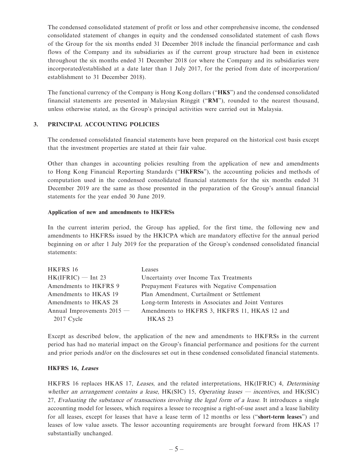The condensed consolidated statement of profit or loss and other comprehensive income, the condensed consolidated statement of changes in equity and the condensed consolidated statement of cash flows of the Group for the six months ended 31 December 2018 include the financial performance and cash flows of the Company and its subsidiaries as if the current group structure had been in existence throughout the six months ended 31 December 2018 (or where the Company and its subsidiaries were incorporated/established at a date later than 1 July 2017, for the period from date of incorporation/ establishment to 31 December 2018).

The functional currency of the Company is Hong Kong dollars ("**HK\$**") and the condensed consolidated financial statements are presented in Malaysian Ringgit ("**RM**"), rounded to the nearest thousand, unless otherwise stated, as the Group's principal activities were carried out in Malaysia.

#### **3. PRINCIPAL ACCOUNTING POLICIES**

The condensed consolidated financial statements have been prepared on the historical cost basis except that the investment properties are stated at their fair value.

Other than changes in accounting policies resulting from the application of new and amendments to Hong Kong Financial Reporting Standards ("**HKFRSs**"), the accounting policies and methods of computation used in the condensed consolidated financial statements for the six months ended 31 December 2019 are the same as those presented in the preparation of the Group's annual financial statements for the year ended 30 June 2019.

#### **Application of new and amendments to HKFRSs**

In the current interim period, the Group has applied, for the first time, the following new and amendments to HKFRSs issued by the HKICPA which are mandatory effective for the annual period beginning on or after 1 July 2019 for the preparation of the Group's condensed consolidated financial statements:

| HKFRS 16                     | Leases                                               |
|------------------------------|------------------------------------------------------|
| $HK(IFRIC)$ - Int 23         | Uncertainty over Income Tax Treatments               |
| Amendments to HKFRS 9        | Prepayment Features with Negative Compensation       |
| Amendments to HKAS 19        | Plan Amendment, Curtailment or Settlement            |
| Amendments to HKAS 28        | Long-term Interests in Associates and Joint Ventures |
| Annual Improvements $2015$ — | Amendments to HKFRS 3, HKFRS 11, HKAS 12 and         |
| $2017$ Cycle                 | HKAS 23                                              |

Except as described below, the application of the new and amendments to HKFRSs in the current period has had no material impact on the Group's financial performance and positions for the current and prior periods and/or on the disclosures set out in these condensed consolidated financial statements.

#### **HKFRS 16, Leases**

HKFRS 16 replaces HKAS 17, Leases, and the related interpretations, HK(IFRIC) 4, Determining whether an arrangement contains a lease,  $HK(SIC)$  15, Operating leases — incentives, and  $HK(SIC)$ 27, Evaluating the substance of transactions involving the legal form of a lease. It introduces a single accounting model for lessees, which requires a lessee to recognise a right-of-use asset and a lease liability for all leases, except for leases that have a lease term of 12 months or less ("**short-term leases**") and leases of low value assets. The lessor accounting requirements are brought forward from HKAS 17 substantially unchanged.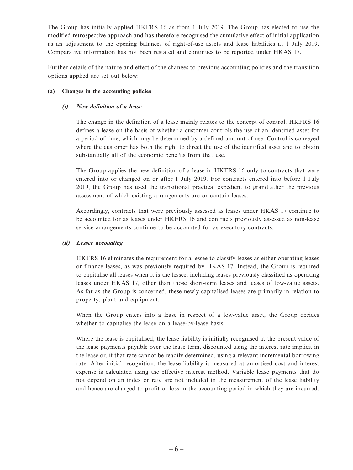The Group has initially applied HKFRS 16 as from 1 July 2019. The Group has elected to use the modified retrospective approach and has therefore recognised the cumulative effect of initial application as an adjustment to the opening balances of right-of-use assets and lease liabilities at 1 July 2019. Comparative information has not been restated and continues to be reported under HKAS 17.

Further details of the nature and effect of the changes to previous accounting policies and the transition options applied are set out below:

#### **(a) Changes in the accounting policies**

#### **(i) New definition of a lease**

The change in the definition of a lease mainly relates to the concept of control. HKFRS 16 defines a lease on the basis of whether a customer controls the use of an identified asset for a period of time, which may be determined by a defined amount of use. Control is conveyed where the customer has both the right to direct the use of the identified asset and to obtain substantially all of the economic benefits from that use.

The Group applies the new definition of a lease in HKFRS 16 only to contracts that were entered into or changed on or after 1 July 2019. For contracts entered into before 1 July 2019, the Group has used the transitional practical expedient to grandfather the previous assessment of which existing arrangements are or contain leases.

Accordingly, contracts that were previously assessed as leases under HKAS 17 continue to be accounted for as leases under HKFRS 16 and contracts previously assessed as non-lease service arrangements continue to be accounted for as executory contracts.

#### **(ii) Lessee accounting**

HKFRS 16 eliminates the requirement for a lessee to classify leases as either operating leases or finance leases, as was previously required by HKAS 17. Instead, the Group is required to capitalise all leases when it is the lessee, including leases previously classified as operating leases under HKAS 17, other than those short-term leases and leases of low-value assets. As far as the Group is concerned, these newly capitalised leases are primarily in relation to property, plant and equipment.

When the Group enters into a lease in respect of a low-value asset, the Group decides whether to capitalise the lease on a lease-by-lease basis.

Where the lease is capitalised, the lease liability is initially recognised at the present value of the lease payments payable over the lease term, discounted using the interest rate implicit in the lease or, if that rate cannot be readily determined, using a relevant incremental borrowing rate. After initial recognition, the lease liability is measured at amortised cost and interest expense is calculated using the effective interest method. Variable lease payments that do not depend on an index or rate are not included in the measurement of the lease liability and hence are charged to profit or loss in the accounting period in which they are incurred.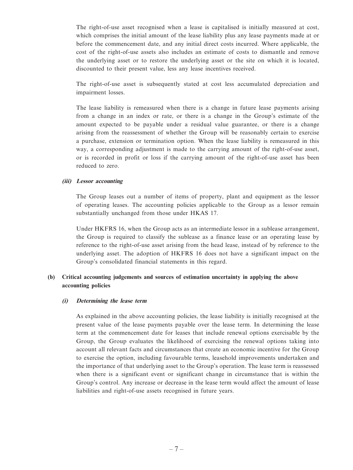The right-of-use asset recognised when a lease is capitalised is initially measured at cost, which comprises the initial amount of the lease liability plus any lease payments made at or before the commencement date, and any initial direct costs incurred. Where applicable, the cost of the right-of-use assets also includes an estimate of costs to dismantle and remove the underlying asset or to restore the underlying asset or the site on which it is located, discounted to their present value, less any lease incentives received.

The right-of-use asset is subsequently stated at cost less accumulated depreciation and impairment losses.

The lease liability is remeasured when there is a change in future lease payments arising from a change in an index or rate, or there is a change in the Group's estimate of the amount expected to be payable under a residual value guarantee, or there is a change arising from the reassessment of whether the Group will be reasonably certain to exercise a purchase, extension or termination option. When the lease liability is remeasured in this way, a corresponding adjustment is made to the carrying amount of the right-of-use asset, or is recorded in profit or loss if the carrying amount of the right-of-use asset has been reduced to zero.

#### **(iii) Lessor accounting**

The Group leases out a number of items of property, plant and equipment as the lessor of operating leases. The accounting policies applicable to the Group as a lessor remain substantially unchanged from those under HKAS 17.

Under HKFRS 16, when the Group acts as an intermediate lessor in a sublease arrangement, the Group is required to classify the sublease as a finance lease or an operating lease by reference to the right-of-use asset arising from the head lease, instead of by reference to the underlying asset. The adoption of HKFRS 16 does not have a significant impact on the Group's consolidated financial statements in this regard.

#### **(b) Critical accounting judgements and sources of estimation uncertainty in applying the above accounting policies**

#### **(i) Determining the lease term**

As explained in the above accounting policies, the lease liability is initially recognised at the present value of the lease payments payable over the lease term. In determining the lease term at the commencement date for leases that include renewal options exercisable by the Group, the Group evaluates the likelihood of exercising the renewal options taking into account all relevant facts and circumstances that create an economic incentive for the Group to exercise the option, including favourable terms, leasehold improvements undertaken and the importance of that underlying asset to the Group's operation. The lease term is reassessed when there is a significant event or significant change in circumstance that is within the Group's control. Any increase or decrease in the lease term would affect the amount of lease liabilities and right-of-use assets recognised in future years.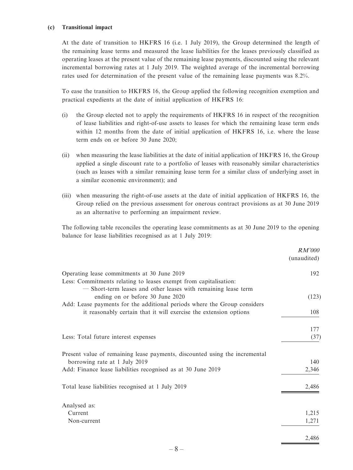#### **(c) Transitional impact**

At the date of transition to HKFRS 16 (i.e. 1 July 2019), the Group determined the length of the remaining lease terms and measured the lease liabilities for the leases previously classified as operating leases at the present value of the remaining lease payments, discounted using the relevant incremental borrowing rates at 1 July 2019. The weighted average of the incremental borrowing rates used for determination of the present value of the remaining lease payments was 8.2%.

To ease the transition to HKFRS 16, the Group applied the following recognition exemption and practical expedients at the date of initial application of HKFRS 16:

- (i) the Group elected not to apply the requirements of HKFRS 16 in respect of the recognition of lease liabilities and right-of-use assets to leases for which the remaining lease term ends within 12 months from the date of initial application of HKFRS 16, i.e. where the lease term ends on or before 30 June 2020;
- (ii) when measuring the lease liabilities at the date of initial application of HKFRS 16, the Group applied a single discount rate to a portfolio of leases with reasonably similar characteristics (such as leases with a similar remaining lease term for a similar class of underlying asset in a similar economic environment); and
- (iii) when measuring the right-of-use assets at the date of initial application of HKFRS 16, the Group relied on the previous assessment for onerous contract provisions as at 30 June 2019 as an alternative to performing an impairment review.

The following table reconciles the operating lease commitments as at 30 June 2019 to the opening balance for lease liabilities recognised as at 1 July 2019:

|                                                                             | <i>RM'000</i><br>(unaudited) |
|-----------------------------------------------------------------------------|------------------------------|
| Operating lease commitments at 30 June 2019                                 | 192                          |
| Less: Commitments relating to leases exempt from capitalisation:            |                              |
| - Short-term leases and other leases with remaining lease term              |                              |
| ending on or before 30 June 2020                                            | (123)                        |
| Add: Lease payments for the additional periods where the Group considers    |                              |
| it reasonably certain that it will exercise the extension options           | 108                          |
|                                                                             | 177                          |
| Less: Total future interest expenses                                        | (37)                         |
| Present value of remaining lease payments, discounted using the incremental |                              |
| borrowing rate at 1 July 2019                                               | 140                          |
| Add: Finance lease liabilities recognised as at 30 June 2019                | 2,346                        |
| Total lease liabilities recognised at 1 July 2019                           | 2,486                        |
| Analysed as:                                                                |                              |
| Current                                                                     | 1,215                        |
| Non-current                                                                 | 1,271                        |
|                                                                             | 2.486                        |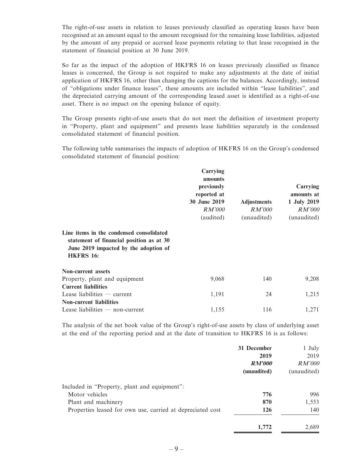The right-of-use assets in relation to leases previously classified as operating leases have been recognised at an amount equal to the amount recognised for the remaining lease liabilities, adjusted by the amount of any prepaid or accrued lease payments relating to that lease recognised in the statement of financial position at 30 June 2019.

So far as the impact of the adoption of HKFRS 16 on leases previously classified as finance leases is concerned, the Group is not required to make any adjustments at the date of initial application of HKFRS 16, other than changing the captions for the balances. Accordingly, instead of "obligations under finance leases", these amounts are included within "lease liabilities", and the depreciated carrying amount of the corresponding leased asset is identified as a right-of-use asset. There is no impact on the opening balance of equity.

The Group presents right-of-use assets that do not meet the definition of investment property in "Property, plant and equipment" and presents lease liabilities separately in the condensed consolidated statement of financial position.

The following table summarises the impacts of adoption of HKFRS 16 on the Group's condensed consolidated statement of financial position:

|                                                                                                                                                   | Carrying<br>amounts<br>previously<br>reported at<br>30 June 2019<br><i>RM'000</i><br>(audited) | <b>Adjustments</b><br>RM'000<br>(unaudited) | Carrying<br>amounts at<br>1 July 2019<br>RM'000<br>(unaudited) |
|---------------------------------------------------------------------------------------------------------------------------------------------------|------------------------------------------------------------------------------------------------|---------------------------------------------|----------------------------------------------------------------|
| Line items in the condensed consolidated<br>statement of financial position as at 30<br>June 2019 impacted by the adoption of<br><b>HKFRS 16:</b> |                                                                                                |                                             |                                                                |
| <b>Non-current assets</b>                                                                                                                         |                                                                                                |                                             |                                                                |
| Property, plant and equipment                                                                                                                     | 9,068                                                                                          | 140                                         | 9,208                                                          |
| <b>Current liabilities</b>                                                                                                                        |                                                                                                |                                             |                                                                |
| Lease liabilities $-$ current                                                                                                                     | 1,191                                                                                          | 24                                          | 1,215                                                          |
| <b>Non-current liabilities</b>                                                                                                                    |                                                                                                |                                             |                                                                |
| Lease liabilities $-$ non-current                                                                                                                 | 1,155                                                                                          | 116                                         | 1,271                                                          |

The analysis of the net book value of the Group's right-of-use assets by class of underlying asset at the end of the reporting period and at the date of transition to HKFRS 16 is as follows:

|                                                            | 31 December   | 1 July        |
|------------------------------------------------------------|---------------|---------------|
|                                                            | 2019          | 2019          |
|                                                            | <b>RM'000</b> | <i>RM'000</i> |
|                                                            | (unaudited)   | (unaudited)   |
| Included in "Property, plant and equipment":               |               |               |
| Motor vehicles                                             | 776           | 996           |
| Plant and machinery                                        | 870           | 1,553         |
| Properties leased for own use, carried at depreciated cost | 126           | 140           |
|                                                            | 1,772         | 2.689         |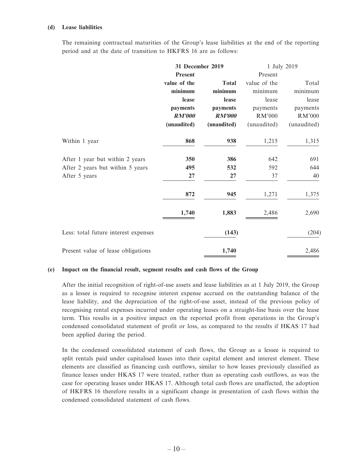#### **(d) Lease liabilities**

The remaining contractual maturities of the Group's lease liabilities at the end of the reporting period and at the date of transition to HKFRS 16 are as follows:

|                                      | 31 December 2019 |               | 1 July 2019  |             |  |
|--------------------------------------|------------------|---------------|--------------|-------------|--|
|                                      | Present          |               | Present      |             |  |
|                                      | value of the     | <b>Total</b>  | value of the | Total       |  |
|                                      | minimum          | minimum       | minimum      | minimum     |  |
|                                      | lease            | lease         | lease        | lease       |  |
|                                      | payments         | payments      | payments     | payments    |  |
|                                      | <b>RM'000</b>    | <b>RM'000</b> | RM'000       | RM'000      |  |
|                                      | (unaudited)      | (unaudited)   | (unaudited)  | (unaudited) |  |
| Within 1 year                        | 868              | 938           | 1,215        | 1,315       |  |
| After 1 year but within 2 years      | 350              | 386           | 642          | 691         |  |
| After 2 years but within 5 years     | 495              | 532           | 592          | 644         |  |
| After 5 years                        | 27               | 27            | 37           | 40          |  |
|                                      | 872              | 945           | 1,271        | 1,375       |  |
|                                      | 1,740            | 1,883         | 2,486        | 2,690       |  |
| Less: total future interest expenses |                  | (143)         |              | (204)       |  |
| Present value of lease obligations   |                  | 1,740         |              | 2,486       |  |

#### **(e) Impact on the financial result, segment results and cash flows of the Group**

After the initial recognition of right-of-use assets and lease liabilities as at 1 July 2019, the Group as a lessee is required to recognise interest expense accrued on the outstanding balance of the lease liability, and the depreciation of the right-of-use asset, instead of the previous policy of recognising rental expenses incurred under operating leases on a straight-line basis over the lease term. This results in a positive impact on the reported profit from operations in the Group's condensed consolidated statement of profit or loss, as compared to the results if HKAS 17 had been applied during the period.

In the condensed consolidated statement of cash flows, the Group as a lessee is required to split rentals paid under capitalised leases into their capital element and interest element. These elements are classified as financing cash outflows, similar to how leases previously classified as finance leases under HKAS 17 were treated, rather than as operating cash outflows, as was the case for operating leases under HKAS 17. Although total cash flows are unaffected, the adoption of HKFRS 16 therefore results in a significant change in presentation of cash flows within the condensed consolidated statement of cash flows.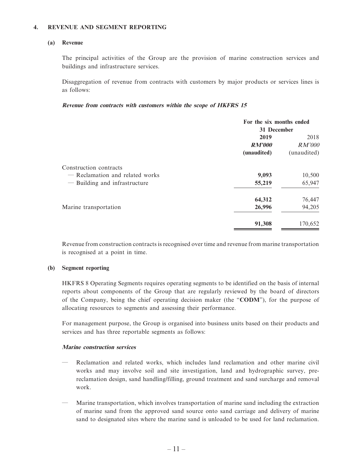#### **4. REVENUE AND SEGMENT REPORTING**

#### **(a) Revenue**

The principal activities of the Group are the provision of marine construction services and buildings and infrastructure services.

Disaggregation of revenue from contracts with customers by major products or services lines is as follows:

#### **Revenue from contracts with customers within the scope of HKFRS 15**

|                                                                                            | For the six months ended<br>31 December |                                      |  |
|--------------------------------------------------------------------------------------------|-----------------------------------------|--------------------------------------|--|
|                                                                                            | 2019<br><b>RM'000</b><br>(unaudited)    | 2018<br><i>RM'000</i><br>(unaudited) |  |
| Construction contracts<br>- Reclamation and related works<br>- Building and infrastructure | 9,093<br>55,219                         | 10,500<br>65,947                     |  |
| Marine transportation                                                                      | 64,312<br>26,996                        | 76,447<br>94,205                     |  |
|                                                                                            | 91,308                                  | 170,652                              |  |

Revenue from construction contracts is recognised over time and revenue from marine transportation is recognised at a point in time.

#### **(b) Segment reporting**

HKFRS 8 Operating Segments requires operating segments to be identified on the basis of internal reports about components of the Group that are regularly reviewed by the board of directors of the Company, being the chief operating decision maker (the "**CODM**"), for the purpose of allocating resources to segments and assessing their performance.

For management purpose, the Group is organised into business units based on their products and services and has three reportable segments as follows:

#### **Marine construction services**

- Reclamation and related works, which includes land reclamation and other marine civil works and may involve soil and site investigation, land and hydrographic survey, prereclamation design, sand handling/filling, ground treatment and sand surcharge and removal work.
- Marine transportation, which involves transportation of marine sand including the extraction of marine sand from the approved sand source onto sand carriage and delivery of marine sand to designated sites where the marine sand is unloaded to be used for land reclamation.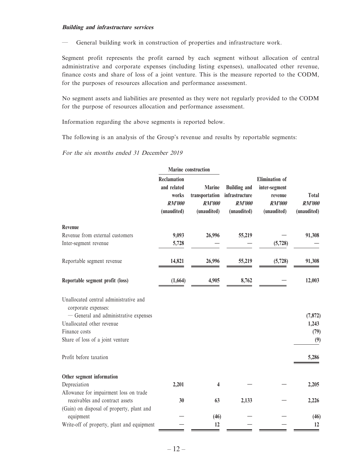#### **Building and infrastructure services**

— General building work in construction of properties and infrastructure work.

Segment profit represents the profit earned by each segment without allocation of central administrative and corporate expenses (including listing expenses), unallocated other revenue, finance costs and share of loss of a joint venture. This is the measure reported to the CODM, for the purposes of resources allocation and performance assessment.

No segment assets and liabilities are presented as they were not regularly provided to the CODM for the purpose of resources allocation and performance assessment.

Information regarding the above segments is reported below.

The following is an analysis of the Group's revenue and results by reportable segments:

For the six months ended 31 December 2019

|                                                                    | <b>Marine construction</b>                                          |                                                          |                                                                       |                                                                                   |                                       |
|--------------------------------------------------------------------|---------------------------------------------------------------------|----------------------------------------------------------|-----------------------------------------------------------------------|-----------------------------------------------------------------------------------|---------------------------------------|
|                                                                    | Reclamation<br>and related<br>works<br><b>RM'000</b><br>(unaudited) | Marine<br>transportation<br><b>RM'000</b><br>(unaudited) | <b>Building and</b><br>infrastructure<br><b>RM'000</b><br>(unaudited) | <b>Elimination</b> of<br>inter-segment<br>revenue<br><b>RM'000</b><br>(unaudited) | Total<br><b>RM'000</b><br>(unaudited) |
| Revenue                                                            |                                                                     |                                                          |                                                                       |                                                                                   |                                       |
| Revenue from external customers                                    | 9,093                                                               | 26,996                                                   | 55,219                                                                |                                                                                   | 91,308                                |
| Inter-segment revenue                                              | 5,728                                                               |                                                          |                                                                       | (5,728)                                                                           |                                       |
| Reportable segment revenue                                         | 14,821                                                              | 26,996                                                   | 55,219                                                                | (5,728)                                                                           | 91,308                                |
| Reportable segment profit (loss)                                   | (1,664)                                                             | 4,905                                                    | 8,762                                                                 |                                                                                   | 12,003                                |
| Unallocated central administrative and<br>corporate expenses:      |                                                                     |                                                          |                                                                       |                                                                                   |                                       |
| - General and administrative expenses<br>Unallocated other revenue |                                                                     |                                                          |                                                                       |                                                                                   | (7, 872)                              |
| Finance costs                                                      |                                                                     |                                                          |                                                                       |                                                                                   | 1,243<br>(79)                         |
| Share of loss of a joint venture                                   |                                                                     |                                                          |                                                                       |                                                                                   | (9)                                   |
| Profit before taxation                                             |                                                                     |                                                          |                                                                       |                                                                                   | 5,286                                 |
| Other segment information                                          |                                                                     |                                                          |                                                                       |                                                                                   |                                       |
| Depreciation                                                       | 2,201                                                               | 4                                                        |                                                                       |                                                                                   | 2,205                                 |
| Allowance for impairment loss on trade                             |                                                                     |                                                          |                                                                       |                                                                                   |                                       |
| receivables and contract assets                                    | 30                                                                  | 63                                                       | 2,133                                                                 |                                                                                   | 2,226                                 |
| (Gain) on disposal of property, plant and                          |                                                                     |                                                          |                                                                       |                                                                                   |                                       |
| equipment                                                          |                                                                     | (46)                                                     |                                                                       |                                                                                   | (46)                                  |
| Write-off of property, plant and equipment                         |                                                                     | 12                                                       |                                                                       |                                                                                   | 12                                    |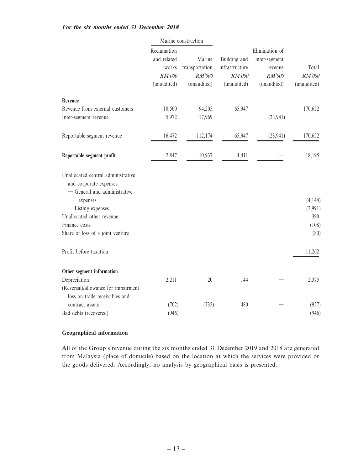#### **For the six months ended 31 December 2018**

|                                                                                                                                                                                                                   |                                                              | Marine construction                               |                                                         |                                                                     |                                             |
|-------------------------------------------------------------------------------------------------------------------------------------------------------------------------------------------------------------------|--------------------------------------------------------------|---------------------------------------------------|---------------------------------------------------------|---------------------------------------------------------------------|---------------------------------------------|
|                                                                                                                                                                                                                   | Reclamation<br>and related<br>works<br>RM'000<br>(unaudited) | Marine<br>transportation<br>RM'000<br>(unaudited) | Building and<br>infrastructure<br>RM'000<br>(unaudited) | Elimination of<br>inter-segment<br>revenue<br>RM'000<br>(unaudited) | Total<br>RM'000<br>(unaudited)              |
| Revenue                                                                                                                                                                                                           |                                                              |                                                   |                                                         |                                                                     |                                             |
| Revenue from external customers                                                                                                                                                                                   | 10,500                                                       | 94,205                                            | 65,947                                                  |                                                                     | 170,652                                     |
| Inter-segment revenue                                                                                                                                                                                             | 5,972                                                        | 17,969                                            |                                                         | (23, 941)                                                           |                                             |
| Reportable segment revenue                                                                                                                                                                                        | 16,472                                                       | 112,174                                           | 65,947                                                  | (23, 941)                                                           | 170,652                                     |
| Reportable segment profit                                                                                                                                                                                         | 2,847                                                        | 10,937                                            | 4,411                                                   |                                                                     | 18,195                                      |
| Unallocated central administrative<br>and corporate expenses:<br>- General and administrative<br>expenses<br>- Listing expenses<br>Unallocated other revenue<br>Finance costs<br>Share of loss of a joint venture |                                                              |                                                   |                                                         |                                                                     | (4, 144)<br>(2,991)<br>390<br>(108)<br>(80) |
| Profit before taxation                                                                                                                                                                                            |                                                              |                                                   |                                                         |                                                                     | 11,262                                      |
| Other segment information                                                                                                                                                                                         |                                                              |                                                   |                                                         |                                                                     |                                             |
| Depreciation                                                                                                                                                                                                      | 2,211                                                        | 20                                                | 144                                                     |                                                                     | 2,375                                       |
| (Reversal)/allowance for impairment<br>loss on trade receivables and                                                                                                                                              |                                                              |                                                   |                                                         |                                                                     |                                             |
| contract assets                                                                                                                                                                                                   | (702)                                                        | (735)                                             | 480                                                     |                                                                     | (957)                                       |
| Bad debts (recovered)                                                                                                                                                                                             | (946)                                                        |                                                   |                                                         |                                                                     | (946)                                       |

#### **Geographical information**

All of the Group's revenue during the six months ended 31 December 2019 and 2018 are generated from Malaysia (place of domicile) based on the location at which the services were provided or the goods delivered. Accordingly, no analysis by geographical basis is presented.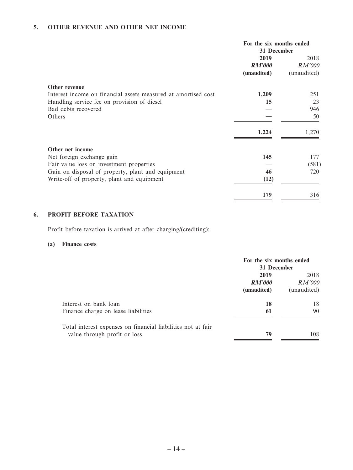### **5. OTHER REVENUE AND OTHER NET INCOME**

|                                                                | For the six months ended<br>31 December |             |
|----------------------------------------------------------------|-----------------------------------------|-------------|
|                                                                | 2019                                    | 2018        |
|                                                                | <b>RM'000</b>                           | RM'000      |
|                                                                | (unaudited)                             | (unaudited) |
| Other revenue                                                  |                                         |             |
| Interest income on financial assets measured at amortised cost | 1,209                                   | 251         |
| Handling service fee on provision of diesel                    | 15                                      | 23          |
| Bad debts recovered                                            |                                         | 946         |
| Others                                                         |                                         | 50          |
|                                                                | 1,224                                   | 1,270       |
| Other net income                                               |                                         |             |
| Net foreign exchange gain                                      | 145                                     | 177         |
| Fair value loss on investment properties                       |                                         | (581)       |
| Gain on disposal of property, plant and equipment              | 46                                      | 720         |
| Write-off of property, plant and equipment                     | (12)                                    |             |
|                                                                | 179                                     | 316         |

### **6. PROFIT BEFORE TAXATION**

Profit before taxation is arrived at after charging/(crediting):

#### **(a) Finance costs**

|                                                              | For the six months ended<br>31 December |               |
|--------------------------------------------------------------|-----------------------------------------|---------------|
|                                                              | 2019<br><i>RM'000</i>                   | 2018          |
|                                                              |                                         | <i>RM'000</i> |
|                                                              | (unaudited)                             | (unaudited)   |
| Interest on bank loan                                        | 18                                      | 18            |
| Finance charge on lease liabilities                          | 61                                      | 90            |
| Total interest expenses on financial liabilities not at fair |                                         |               |
| value through profit or loss                                 | 79                                      | 108           |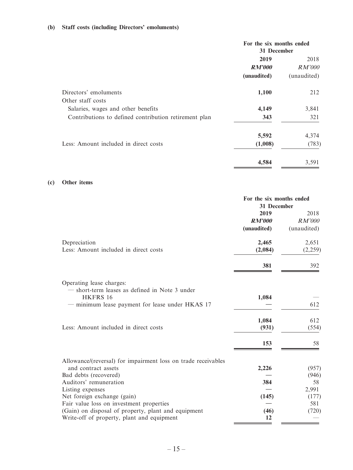### **(b) Staff costs (including Directors' emoluments)**

|                                                       | For the six months ended<br>31 December |               |
|-------------------------------------------------------|-----------------------------------------|---------------|
|                                                       | 2019                                    | 2018          |
|                                                       | <b>RM'000</b>                           | <i>RM'000</i> |
|                                                       | (unaudited)                             | (unaudited)   |
| Directors' emoluments                                 | 1,100                                   | 212           |
| Other staff costs                                     |                                         |               |
| Salaries, wages and other benefits                    | 4,149                                   | 3,841         |
| Contributions to defined contribution retirement plan | 343                                     | 321           |
|                                                       | 5,592                                   | 4,374         |
| Less: Amount included in direct costs                 | (1,008)                                 | (783)         |
|                                                       | 4,584                                   | 3,591         |

#### **(c) Other items**

|                                                               | For the six months ended<br>31 December |             |
|---------------------------------------------------------------|-----------------------------------------|-------------|
|                                                               | 2019                                    | 2018        |
|                                                               | <b>RM'000</b>                           | RM'000      |
|                                                               | (unaudited)                             | (unaudited) |
| Depreciation                                                  | 2,465                                   | 2,651       |
| Less: Amount included in direct costs                         | (2,084)                                 | (2,259)     |
|                                                               | 381                                     | 392         |
| Operating lease charges:                                      |                                         |             |
| - short-term leases as defined in Note 3 under                |                                         |             |
| HKFRS 16                                                      | 1,084                                   |             |
| minimum lease payment for lease under HKAS 17                 |                                         | 612         |
|                                                               | 1,084                                   | 612         |
| Less: Amount included in direct costs                         | (931)                                   | (554)       |
|                                                               | 153                                     | 58          |
| Allowance/(reversal) for impairment loss on trade receivables |                                         |             |
| and contract assets                                           | 2,226                                   | (957)       |
| Bad debts (recovered)                                         |                                         | (946)       |
| Auditors' remuneration                                        | 384                                     | 58          |
| Listing expenses                                              |                                         | 2,991       |
| Net foreign exchange (gain)                                   | (145)                                   | (177)       |
| Fair value loss on investment properties                      |                                         | 581         |
| (Gain) on disposal of property, plant and equipment           | (46)                                    | (720)       |
| Write-off of property, plant and equipment                    | 12                                      |             |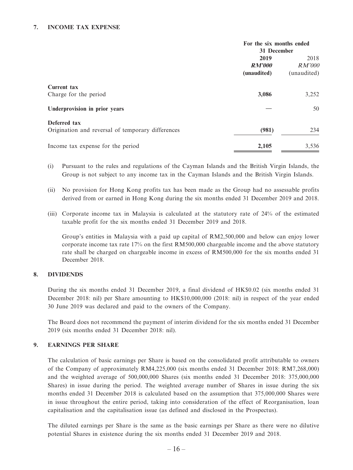#### **7. INCOME TAX EXPENSE**

|                                                                   | For the six months ended<br>31 December |                                      |
|-------------------------------------------------------------------|-----------------------------------------|--------------------------------------|
|                                                                   | 2019<br><b>RM'000</b><br>(unaudited)    | 2018<br><i>RM'000</i><br>(unaudited) |
| <b>Current tax</b><br>Charge for the period                       | 3,086                                   | 3,252                                |
| Underprovision in prior years                                     |                                         | 50                                   |
| Deferred tax<br>Origination and reversal of temporary differences | (981)                                   | 234                                  |
| Income tax expense for the period                                 | 2,105                                   | 3,536                                |

- (i) Pursuant to the rules and regulations of the Cayman Islands and the British Virgin Islands, the Group is not subject to any income tax in the Cayman Islands and the British Virgin Islands.
- (ii) No provision for Hong Kong profits tax has been made as the Group had no assessable profits derived from or earned in Hong Kong during the six months ended 31 December 2019 and 2018.
- (iii) Corporate income tax in Malaysia is calculated at the statutory rate of 24% of the estimated taxable profit for the six months ended 31 December 2019 and 2018.

Group's entities in Malaysia with a paid up capital of RM2,500,000 and below can enjoy lower corporate income tax rate 17% on the first RM500,000 chargeable income and the above statutory rate shall be charged on chargeable income in excess of RM500,000 for the six months ended 31 December 2018.

#### **8. DIVIDENDS**

During the six months ended 31 December 2019, a final dividend of HK\$0.02 (six months ended 31 December 2018: nil) per Share amounting to HK\$10,000,000 (2018: nil) in respect of the year ended 30 June 2019 was declared and paid to the owners of the Company.

The Board does not recommend the payment of interim dividend for the six months ended 31 December 2019 (six months ended 31 December 2018: nil).

#### **9. EARNINGS PER SHARE**

The calculation of basic earnings per Share is based on the consolidated profit attributable to owners of the Company of approximately RM4,225,000 (six months ended 31 December 2018: RM7,268,000) and the weighted average of 500,000,000 Shares (six months ended 31 December 2018: 375,000,000 Shares) in issue during the period. The weighted average number of Shares in issue during the six months ended 31 December 2018 is calculated based on the assumption that 375,000,000 Shares were in issue throughout the entire period, taking into consideration of the effect of Reorganisation, loan capitalisation and the capitalisation issue (as defined and disclosed in the Prospectus).

The diluted earnings per Share is the same as the basic earnings per Share as there were no dilutive potential Shares in existence during the six months ended 31 December 2019 and 2018.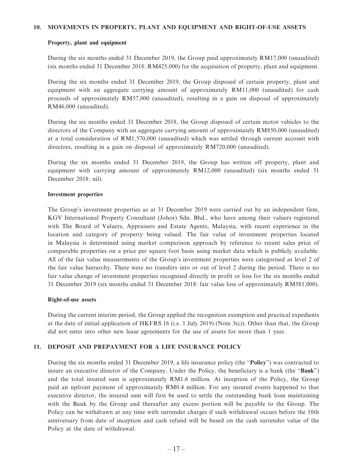#### **10. MOVEMENTS IN PROPERTY, PLANT AND EQUIPMENT AND RIGHT-OF-USE ASSETS**

#### **Property, plant and equipment**

During the six months ended 31 December 2019, the Group paid approximately RM17,000 (unaudited) (six months ended 31 December 2018: RM425,000) for the acquisition of property, plant and equipment.

During the six months ended 31 December 2019, the Group disposed of certain property, plant and equipment with an aggregate carrying amount of approximately RM11,000 (unaudited) for cash proceeds of approximately RM57,000 (unaudited), resulting in a gain on disposal of approximately RM46,000 (unaudited).

During the six months ended 31 December 2018, the Group disposed of certain motor vehicles to the directors of the Company with an aggregate carrying amount of approximately RM850,000 (unaudited) at a total consideration of RM1,570,000 (unaudited) which was settled through current account with directors, resulting in a gain on disposal of approximately RM720,000 (unaudited).

During the six months ended 31 December 2019, the Group has written off property, plant and equipment with carrying amount of approximately RM12,000 (unaudited) (six months ended 31 December 2018: nil).

#### **Investment properties**

The Group's investment properties as at 31 December 2019 were carried out by an independent firm, KGV International Property Consultant (Johor) Sdn. Bhd., who have among their valuers registered with The Board of Valuers, Appraisers and Estate Agents, Malaysia, with recent experience in the location and category of property being valued. The fair value of investment properties located in Malaysia is determined using market comparison approach by reference to recent sales price of comparable properties on a price per square foot basis using market data which is publicly available. All of the fair value measurements of the Group's investment properties were categorised as level 2 of the fair value hierarchy. There were no transfers into or out of level 2 during the period. There is no fair value change of investment properties recognised directly in profit or loss for the six months ended 31 December 2019 (six months ended 31 December 2018: fair value loss of approximately RM581,000).

#### **Right-of-use assets**

During the current interim period, the Group applied the recognition exemption and practical expedients at the date of initial application of HKFRS 16 (i.e. 1 July 2019) (Note 3(c)). Other than that, the Group did not enter into other new lease agreements for the use of assets for more than 1 year.

#### **11. DEPOSIT AND PREPAYMENT FOR A LIFE INSURANCE POLICY**

During the six months ended 31 December 2019, a life insurance policy (the "**Policy**") was contracted to insure an executive director of the Company. Under the Policy, the beneficiary is a bank (the "**Bank**") and the total insured sum is approximately RM1.6 million. At inception of the Policy, the Group paid an upfront payment of approximately RM0.4 million. For any insured events happened to that executive director, the insured sum will first be used to settle the outstanding bank loan maintaining with the Bank by the Group and thereafter any excess portion will be payable to the Group. The Policy can be withdrawn at any time with surrender charges if such withdrawal occurs before the 10th anniversary from date of inception and cash refund will be based on the cash surrender value of the Policy at the date of withdrawal.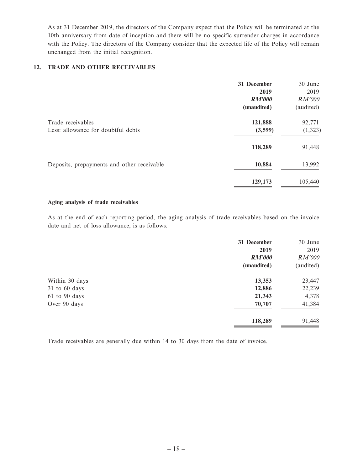As at 31 December 2019, the directors of the Company expect that the Policy will be terminated at the 10th anniversary from date of inception and there will be no specific surrender charges in accordance with the Policy. The directors of the Company consider that the expected life of the Policy will remain unchanged from the initial recognition.

#### **12. TRADE AND OTHER RECEIVABLES**

|                                                         | 31 December<br>2019<br><b>RM'000</b><br>(unaudited) | 30 June<br>2019<br>RM'000<br>(audited) |
|---------------------------------------------------------|-----------------------------------------------------|----------------------------------------|
| Trade receivables<br>Less: allowance for doubtful debts | 121,888<br>(3,599)                                  | 92,771<br>(1, 323)                     |
|                                                         |                                                     |                                        |
|                                                         | 118,289                                             | 91,448                                 |
| Deposits, prepayments and other receivable              | 10,884                                              | 13,992                                 |
|                                                         | 129,173                                             | 105,440                                |

#### **Aging analysis of trade receivables**

As at the end of each reporting period, the aging analysis of trade receivables based on the invoice date and net of loss allowance, is as follows:

|                   | 31 December   | 30 June   |
|-------------------|---------------|-----------|
|                   | 2019          | 2019      |
|                   | <b>RM'000</b> | RM'000    |
|                   | (unaudited)   | (audited) |
| Within 30 days    | 13,353        | 23,447    |
| $31$ to 60 days   | 12,886        | 22,239    |
| $61$ to $90$ days | 21,343        | 4,378     |
| Over 90 days      | 70,707        | 41,384    |
|                   | 118,289       | 91,448    |

Trade receivables are generally due within 14 to 30 days from the date of invoice.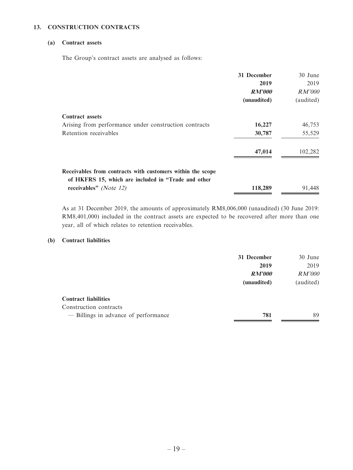#### **13. CONSTRUCTION CONTRACTS**

#### **(a) Contract assets**

The Group's contract assets are analysed as follows:

|                                                                                                                   | 31 December   | 30 June       |
|-------------------------------------------------------------------------------------------------------------------|---------------|---------------|
|                                                                                                                   | 2019          | 2019          |
|                                                                                                                   | <b>RM'000</b> | <i>RM'000</i> |
|                                                                                                                   | (unaudited)   | (audited)     |
| <b>Contract assets</b>                                                                                            |               |               |
| Arising from performance under construction contracts                                                             | 16,227        | 46,753        |
| Retention receivables                                                                                             | 30,787        | 55,529        |
|                                                                                                                   | 47,014        | 102,282       |
| Receivables from contracts with customers within the scope<br>of HKFRS 15, which are included in "Trade and other |               |               |
| receivables" (Note 12)                                                                                            | 118,289       | 91,448        |

As at 31 December 2019, the amounts of approximately RM8,006,000 (unaudited) (30 June 2019: RM8,401,000) included in the contract assets are expected to be recovered after more than one year, all of which relates to retention receivables.

#### **(b) Contract liabilities**

|                                      | 31 December   | 30 June       |
|--------------------------------------|---------------|---------------|
|                                      | 2019          | 2019          |
|                                      | <i>RM'000</i> | <i>RM'000</i> |
|                                      | (unaudited)   | (audited)     |
| <b>Contract liabilities</b>          |               |               |
| Construction contracts               |               |               |
| - Billings in advance of performance | 781           | 89            |
|                                      |               |               |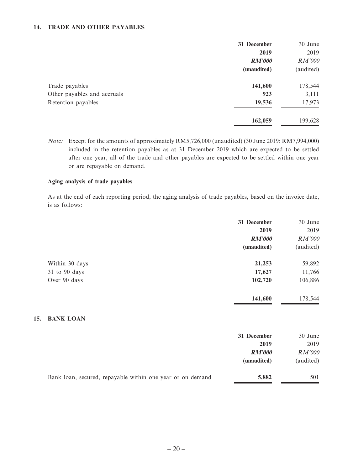#### **14. TRADE AND OTHER PAYABLES**

|                             | 31 December   | 30 June       |
|-----------------------------|---------------|---------------|
|                             | 2019          | 2019          |
|                             | <b>RM'000</b> | <i>RM'000</i> |
|                             | (unaudited)   | (audited)     |
| Trade payables              | 141,600       | 178,544       |
| Other payables and accruals | 923           | 3,111         |
| Retention payables          | 19,536        | 17,973        |
|                             | 162,059       | 199,628       |

Note: Except for the amounts of approximately RM5,726,000 (unaudited) (30 June 2019: RM7,994,000) included in the retention payables as at 31 December 2019 which are expected to be settled after one year, all of the trade and other payables are expected to be settled within one year or are repayable on demand.

#### **Aging analysis of trade payables**

As at the end of each reporting period, the aging analysis of trade payables, based on the invoice date, is as follows:

|                   | 31 December   | 30 June       |
|-------------------|---------------|---------------|
|                   | 2019          | 2019          |
|                   | <b>RM'000</b> | <b>RM'000</b> |
|                   | (unaudited)   | (audited)     |
| Within 30 days    | 21,253        | 59,892        |
| $31$ to $90$ days | 17,627        | 11,766        |
| Over 90 days      | 102,720       | 106,886       |
|                   | 141,600       | 178,544       |

#### **15. BANK LOAN**

|                                                            | 31 December   | 30 June       |
|------------------------------------------------------------|---------------|---------------|
|                                                            | 2019          | 2019          |
|                                                            | <i>RM'000</i> | <i>RM'000</i> |
|                                                            | (unaudited)   | (audited)     |
| Bank loan, secured, repayable within one year or on demand | 5,882         | 501           |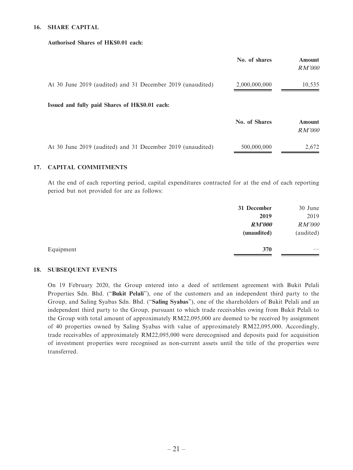#### **16. SHARE CAPITAL**

#### **Authorised Shares of HK\$0.01 each:**

|                                                            | No. of shares | <b>Amount</b><br><i>RM'000</i> |
|------------------------------------------------------------|---------------|--------------------------------|
| At 30 June 2019 (audited) and 31 December 2019 (unaudited) | 2,000,000,000 | 10,535                         |
| Issued and fully paid Shares of HK\$0.01 each:             |               |                                |
|                                                            | No. of Shares | <b>Amount</b><br><i>RM'000</i> |
| At 30 June 2019 (audited) and 31 December 2019 (unaudited) | 500,000,000   | 2,672                          |

#### **17. CAPITAL COMMITMENTS**

At the end of each reporting period, capital expenditures contracted for at the end of each reporting period but not provided for are as follows:

|           | 31 December   | 30 June       |
|-----------|---------------|---------------|
|           | 2019          | 2019          |
|           | <b>RM'000</b> | <b>RM'000</b> |
|           | (unaudited)   | (audited)     |
| Equipment | 370           | __            |

#### **18. SUBSEQUENT EVENTS**

On 19 February 2020, the Group entered into a deed of settlement agreement with Bukit Pelali Properties Sdn. Bhd. ("**Bukit Pelali**"), one of the customers and an independent third party to the Group, and Saling Syabas Sdn. Bhd. ("**Saling Syabas**"), one of the shareholders of Bukit Pelali and an independent third party to the Group, pursuant to which trade receivables owing from Bukit Pelali to the Group with total amount of approximately RM22,095,000 are deemed to be received by assignment of 40 properties owned by Saling Syabas with value of approximately RM22,095,000. Accordingly, trade receivables of approximately RM22,095,000 were derecognised and deposits paid for acquisition of investment properties were recognised as non-current assets until the title of the properties were transferred.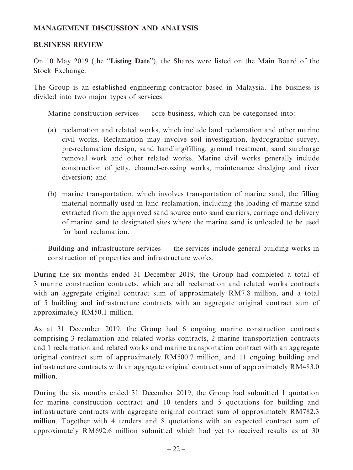# **MANAGEMENT DISCUSSION AND ANALYSIS**

### **BUSINESS REVIEW**

On 10 May 2019 (the "**Listing Date**"), the Shares were listed on the Main Board of the Stock Exchange.

The Group is an established engineering contractor based in Malaysia. The business is divided into two major types of services:

- Marine construction services core business, which can be categorised into:
	- (a) reclamation and related works, which include land reclamation and other marine civil works. Reclamation may involve soil investigation, hydrographic survey, pre-reclamation design, sand handling/filling, ground treatment, sand surcharge removal work and other related works. Marine civil works generally include construction of jetty, channel-crossing works, maintenance dredging and river diversion; and
	- (b) marine transportation, which involves transportation of marine sand, the filling material normally used in land reclamation, including the loading of marine sand extracted from the approved sand source onto sand carriers, carriage and delivery of marine sand to designated sites where the marine sand is unloaded to be used for land reclamation.
- Building and infrastructure services  $-$  the services include general building works in construction of properties and infrastructure works.

During the six months ended 31 December 2019, the Group had completed a total of 3 marine construction contracts, which are all reclamation and related works contracts with an aggregate original contract sum of approximately RM7.8 million, and a total of 5 building and infrastructure contracts with an aggregate original contract sum of approximately RM50.1 million.

As at 31 December 2019, the Group had 6 ongoing marine construction contracts comprising 3 reclamation and related works contracts, 2 marine transportation contracts and 1 reclamation and related works and marine transportation contract with an aggregate original contract sum of approximately RM500.7 million, and 11 ongoing building and infrastructure contracts with an aggregate original contract sum of approximately RM483.0 million.

During the six months ended 31 December 2019, the Group had submitted 1 quotation for marine construction contract and 10 tenders and 5 quotations for building and infrastructure contracts with aggregate original contract sum of approximately RM782.3 million. Together with 4 tenders and 8 quotations with an expected contract sum of approximately RM692.6 million submitted which had yet to received results as at 30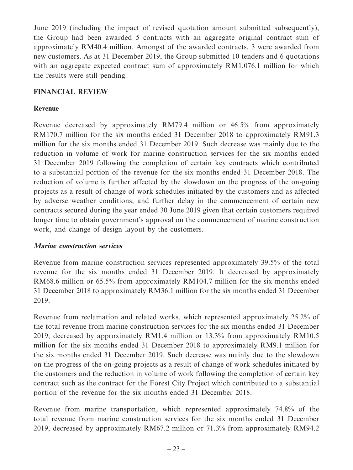June 2019 (including the impact of revised quotation amount submitted subsequently), the Group had been awarded 5 contracts with an aggregate original contract sum of approximately RM40.4 million. Amongst of the awarded contracts, 3 were awarded from new customers. As at 31 December 2019, the Group submitted 10 tenders and 6 quotations with an aggregate expected contract sum of approximately RM1,076.1 million for which the results were still pending.

# **FINANCIAL REVIEW**

# **Revenue**

Revenue decreased by approximately RM79.4 million or 46.5% from approximately RM170.7 million for the six months ended 31 December 2018 to approximately RM91.3 million for the six months ended 31 December 2019. Such decrease was mainly due to the reduction in volume of work for marine construction services for the six months ended 31 December 2019 following the completion of certain key contracts which contributed to a substantial portion of the revenue for the six months ended 31 December 2018. The reduction of volume is further affected by the slowdown on the progress of the on-going projects as a result of change of work schedules initiated by the customers and as affected by adverse weather conditions; and further delay in the commencement of certain new contracts secured during the year ended 30 June 2019 given that certain customers required longer time to obtain government's approval on the commencement of marine construction work, and change of design layout by the customers.

### **Marine construction services**

Revenue from marine construction services represented approximately 39.5% of the total revenue for the six months ended 31 December 2019. It decreased by approximately RM68.6 million or 65.5% from approximately RM104.7 million for the six months ended 31 December 2018 to approximately RM36.1 million for the six months ended 31 December 2019.

Revenue from reclamation and related works, which represented approximately 25.2% of the total revenue from marine construction services for the six months ended 31 December 2019, decreased by approximately RM1.4 million or 13.3% from approximately RM10.5 million for the six months ended 31 December 2018 to approximately RM9.1 million for the six months ended 31 December 2019. Such decrease was mainly due to the slowdown on the progress of the on-going projects as a result of change of work schedules initiated by the customers and the reduction in volume of work following the completion of certain key contract such as the contract for the Forest City Project which contributed to a substantial portion of the revenue for the six months ended 31 December 2018.

Revenue from marine transportation, which represented approximately 74.8% of the total revenue from marine construction services for the six months ended 31 December 2019, decreased by approximately RM67.2 million or 71.3% from approximately RM94.2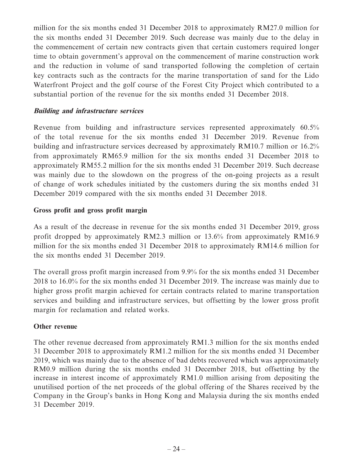million for the six months ended 31 December 2018 to approximately RM27.0 million for the six months ended 31 December 2019. Such decrease was mainly due to the delay in the commencement of certain new contracts given that certain customers required longer time to obtain government's approval on the commencement of marine construction work and the reduction in volume of sand transported following the completion of certain key contracts such as the contracts for the marine transportation of sand for the Lido Waterfront Project and the golf course of the Forest City Project which contributed to a substantial portion of the revenue for the six months ended 31 December 2018.

### **Building and infrastructure services**

Revenue from building and infrastructure services represented approximately 60.5% of the total revenue for the six months ended 31 December 2019. Revenue from building and infrastructure services decreased by approximately RM10.7 million or 16.2% from approximately RM65.9 million for the six months ended 31 December 2018 to approximately RM55.2 million for the six months ended 31 December 2019. Such decrease was mainly due to the slowdown on the progress of the on-going projects as a result of change of work schedules initiated by the customers during the six months ended 31 December 2019 compared with the six months ended 31 December 2018.

# **Gross profit and gross profit margin**

As a result of the decrease in revenue for the six months ended 31 December 2019, gross profit dropped by approximately RM2.3 million or 13.6% from approximately RM16.9 million for the six months ended 31 December 2018 to approximately RM14.6 million for the six months ended 31 December 2019.

The overall gross profit margin increased from 9.9% for the six months ended 31 December 2018 to 16.0% for the six months ended 31 December 2019. The increase was mainly due to higher gross profit margin achieved for certain contracts related to marine transportation services and building and infrastructure services, but offsetting by the lower gross profit margin for reclamation and related works.

### **Other revenue**

The other revenue decreased from approximately RM1.3 million for the six months ended 31 December 2018 to approximately RM1.2 million for the six months ended 31 December 2019, which was mainly due to the absence of bad debts recovered which was approximately RM0.9 million during the six months ended 31 December 2018, but offsetting by the increase in interest income of approximately RM1.0 million arising from depositing the unutilised portion of the net proceeds of the global offering of the Shares received by the Company in the Group's banks in Hong Kong and Malaysia during the six months ended 31 December 2019.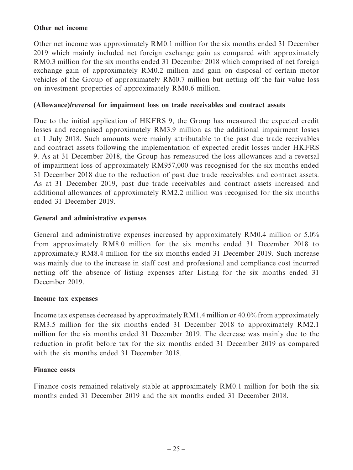### **Other net income**

Other net income was approximately RM0.1 million for the six months ended 31 December 2019 which mainly included net foreign exchange gain as compared with approximately RM0.3 million for the six months ended 31 December 2018 which comprised of net foreign exchange gain of approximately RM0.2 million and gain on disposal of certain motor vehicles of the Group of approximately RM0.7 million but netting off the fair value loss on investment properties of approximately RM0.6 million.

### **(Allowance)/reversal for impairment loss on trade receivables and contract assets**

Due to the initial application of HKFRS 9, the Group has measured the expected credit losses and recognised approximately RM3.9 million as the additional impairment losses at 1 July 2018. Such amounts were mainly attributable to the past due trade receivables and contract assets following the implementation of expected credit losses under HKFRS 9. As at 31 December 2018, the Group has remeasured the loss allowances and a reversal of impairment loss of approximately RM957,000 was recognised for the six months ended 31 December 2018 due to the reduction of past due trade receivables and contract assets. As at 31 December 2019, past due trade receivables and contract assets increased and additional allowances of approximately RM2.2 million was recognised for the six months ended 31 December 2019.

### **General and administrative expenses**

General and administrative expenses increased by approximately RM0.4 million or 5.0% from approximately RM8.0 million for the six months ended 31 December 2018 to approximately RM8.4 million for the six months ended 31 December 2019. Such increase was mainly due to the increase in staff cost and professional and compliance cost incurred netting off the absence of listing expenses after Listing for the six months ended 31 December 2019.

### **Income tax expenses**

Income tax expenses decreased by approximately RM1.4 million or 40.0% from approximately RM3.5 million for the six months ended 31 December 2018 to approximately RM2.1 million for the six months ended 31 December 2019. The decrease was mainly due to the reduction in profit before tax for the six months ended 31 December 2019 as compared with the six months ended 31 December 2018.

# **Finance costs**

Finance costs remained relatively stable at approximately RM0.1 million for both the six months ended 31 December 2019 and the six months ended 31 December 2018.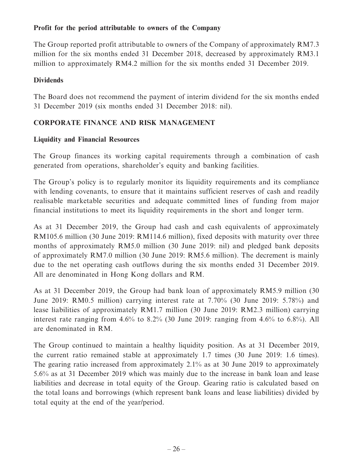# **Profit for the period attributable to owners of the Company**

The Group reported profit attributable to owners of the Company of approximately RM7.3 million for the six months ended 31 December 2018, decreased by approximately RM3.1 million to approximately RM4.2 million for the six months ended 31 December 2019.

### **Dividends**

The Board does not recommend the payment of interim dividend for the six months ended 31 December 2019 (six months ended 31 December 2018: nil).

# **CORPORATE FINANCE AND RISK MANAGEMENT**

# **Liquidity and Financial Resources**

The Group finances its working capital requirements through a combination of cash generated from operations, shareholder's equity and banking facilities.

The Group's policy is to regularly monitor its liquidity requirements and its compliance with lending covenants, to ensure that it maintains sufficient reserves of cash and readily realisable marketable securities and adequate committed lines of funding from major financial institutions to meet its liquidity requirements in the short and longer term.

As at 31 December 2019, the Group had cash and cash equivalents of approximately RM105.6 million (30 June 2019: RM114.6 million), fixed deposits with maturity over three months of approximately RM5.0 million (30 June 2019: nil) and pledged bank deposits of approximately RM7.0 million (30 June 2019: RM5.6 million). The decrement is mainly due to the net operating cash outflows during the six months ended 31 December 2019. All are denominated in Hong Kong dollars and RM.

As at 31 December 2019, the Group had bank loan of approximately RM5.9 million (30 June 2019: RM0.5 million) carrying interest rate at 7.70% (30 June 2019: 5.78%) and lease liabilities of approximately RM1.7 million (30 June 2019: RM2.3 million) carrying interest rate ranging from 4.6% to 8.2% (30 June 2019: ranging from 4.6% to 6.8%). All are denominated in RM.

The Group continued to maintain a healthy liquidity position. As at 31 December 2019, the current ratio remained stable at approximately 1.7 times (30 June 2019: 1.6 times). The gearing ratio increased from approximately 2.1% as at 30 June 2019 to approximately 5.6% as at 31 December 2019 which was mainly due to the increase in bank loan and lease liabilities and decrease in total equity of the Group. Gearing ratio is calculated based on the total loans and borrowings (which represent bank loans and lease liabilities) divided by total equity at the end of the year/period.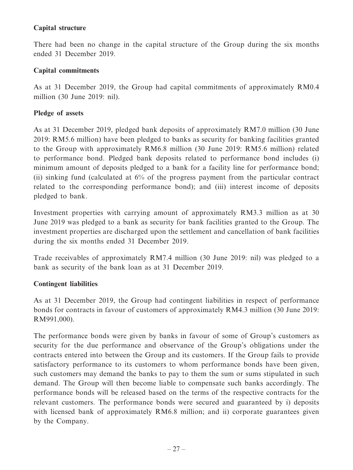# **Capital structure**

There had been no change in the capital structure of the Group during the six months ended 31 December 2019.

### **Capital commitments**

As at 31 December 2019, the Group had capital commitments of approximately RM0.4 million (30 June 2019: nil).

# **Pledge of assets**

As at 31 December 2019, pledged bank deposits of approximately RM7.0 million (30 June 2019: RM5.6 million) have been pledged to banks as security for banking facilities granted to the Group with approximately RM6.8 million (30 June 2019: RM5.6 million) related to performance bond. Pledged bank deposits related to performance bond includes (i) minimum amount of deposits pledged to a bank for a facility line for performance bond; (ii) sinking fund (calculated at 6% of the progress payment from the particular contract related to the corresponding performance bond); and (iii) interest income of deposits pledged to bank.

Investment properties with carrying amount of approximately RM3.3 million as at 30 June 2019 was pledged to a bank as security for bank facilities granted to the Group. The investment properties are discharged upon the settlement and cancellation of bank facilities during the six months ended 31 December 2019.

Trade receivables of approximately RM7.4 million (30 June 2019: nil) was pledged to a bank as security of the bank loan as at 31 December 2019.

### **Contingent liabilities**

As at 31 December 2019, the Group had contingent liabilities in respect of performance bonds for contracts in favour of customers of approximately RM4.3 million (30 June 2019: RM991,000).

The performance bonds were given by banks in favour of some of Group's customers as security for the due performance and observance of the Group's obligations under the contracts entered into between the Group and its customers. If the Group fails to provide satisfactory performance to its customers to whom performance bonds have been given, such customers may demand the banks to pay to them the sum or sums stipulated in such demand. The Group will then become liable to compensate such banks accordingly. The performance bonds will be released based on the terms of the respective contracts for the relevant customers. The performance bonds were secured and guaranteed by i) deposits with licensed bank of approximately RM6.8 million; and ii) corporate guarantees given by the Company.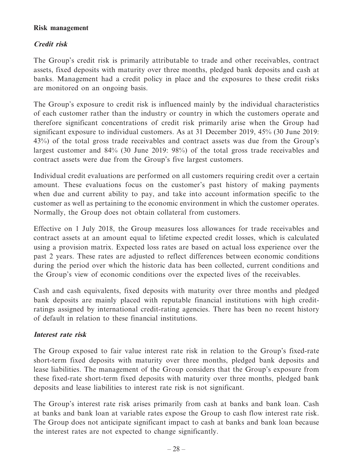### **Risk management**

# **Credit risk**

The Group's credit risk is primarily attributable to trade and other receivables, contract assets, fixed deposits with maturity over three months, pledged bank deposits and cash at banks. Management had a credit policy in place and the exposures to these credit risks are monitored on an ongoing basis.

The Group's exposure to credit risk is influenced mainly by the individual characteristics of each customer rather than the industry or country in which the customers operate and therefore significant concentrations of credit risk primarily arise when the Group had significant exposure to individual customers. As at 31 December 2019, 45% (30 June 2019: 43%) of the total gross trade receivables and contract assets was due from the Group's largest customer and 84% (30 June 2019: 98%) of the total gross trade receivables and contract assets were due from the Group's five largest customers.

Individual credit evaluations are performed on all customers requiring credit over a certain amount. These evaluations focus on the customer's past history of making payments when due and current ability to pay, and take into account information specific to the customer as well as pertaining to the economic environment in which the customer operates. Normally, the Group does not obtain collateral from customers.

Effective on 1 July 2018, the Group measures loss allowances for trade receivables and contract assets at an amount equal to lifetime expected credit losses, which is calculated using a provision matrix. Expected loss rates are based on actual loss experience over the past 2 years. These rates are adjusted to reflect differences between economic conditions during the period over which the historic data has been collected, current conditions and the Group's view of economic conditions over the expected lives of the receivables.

Cash and cash equivalents, fixed deposits with maturity over three months and pledged bank deposits are mainly placed with reputable financial institutions with high creditratings assigned by international credit-rating agencies. There has been no recent history of default in relation to these financial institutions.

# **Interest rate risk**

The Group exposed to fair value interest rate risk in relation to the Group's fixed-rate short-term fixed deposits with maturity over three months, pledged bank deposits and lease liabilities. The management of the Group considers that the Group's exposure from these fixed-rate short-term fixed deposits with maturity over three months, pledged bank deposits and lease liabilities to interest rate risk is not significant.

The Group's interest rate risk arises primarily from cash at banks and bank loan. Cash at banks and bank loan at variable rates expose the Group to cash flow interest rate risk. The Group does not anticipate significant impact to cash at banks and bank loan because the interest rates are not expected to change significantly.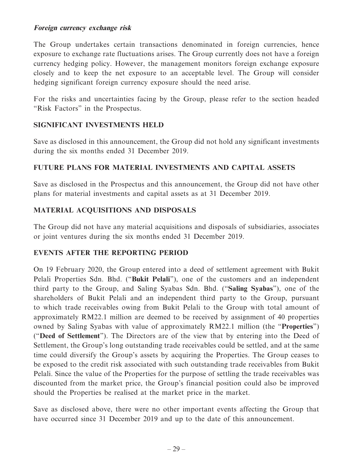### **Foreign currency exchange risk**

The Group undertakes certain transactions denominated in foreign currencies, hence exposure to exchange rate fluctuations arises. The Group currently does not have a foreign currency hedging policy. However, the management monitors foreign exchange exposure closely and to keep the net exposure to an acceptable level. The Group will consider hedging significant foreign currency exposure should the need arise.

For the risks and uncertainties facing by the Group, please refer to the section headed "Risk Factors" in the Prospectus.

# **SIGNIFICANT INVESTMENTS HELD**

Save as disclosed in this announcement, the Group did not hold any significant investments during the six months ended 31 December 2019.

# **FUTURE PLANS FOR MATERIAL INVESTMENTS AND CAPITAL ASSETS**

Save as disclosed in the Prospectus and this announcement, the Group did not have other plans for material investments and capital assets as at 31 December 2019.

# **MATERIAL ACQUISITIONS AND DISPOSALS**

The Group did not have any material acquisitions and disposals of subsidiaries, associates or joint ventures during the six months ended 31 December 2019.

# **EVENTS AFTER THE REPORTING PERIOD**

On 19 February 2020, the Group entered into a deed of settlement agreement with Bukit Pelali Properties Sdn. Bhd. ("**Bukit Pelali**"), one of the customers and an independent third party to the Group, and Saling Syabas Sdn. Bhd. ("**Saling Syabas**"), one of the shareholders of Bukit Pelali and an independent third party to the Group, pursuant to which trade receivables owing from Bukit Pelali to the Group with total amount of approximately RM22.1 million are deemed to be received by assignment of 40 properties owned by Saling Syabas with value of approximately RM22.1 million (the "**Properties**") ("**Deed of Settlement**"). The Directors are of the view that by entering into the Deed of Settlement, the Group's long outstanding trade receivables could be settled, and at the same time could diversify the Group's assets by acquiring the Properties. The Group ceases to be exposed to the credit risk associated with such outstanding trade receivables from Bukit Pelali. Since the value of the Properties for the purpose of settling the trade receivables was discounted from the market price, the Group's financial position could also be improved should the Properties be realised at the market price in the market.

Save as disclosed above, there were no other important events affecting the Group that have occurred since 31 December 2019 and up to the date of this announcement.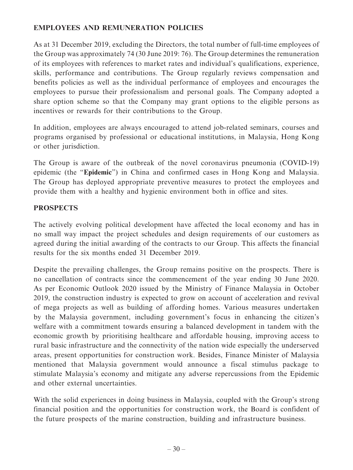# **EMPLOYEES AND REMUNERATION POLICIES**

As at 31 December 2019, excluding the Directors, the total number of full-time employees of the Group was approximately 74 (30 June 2019: 76). The Group determines the remuneration of its employees with references to market rates and individual's qualifications, experience, skills, performance and contributions. The Group regularly reviews compensation and benefits policies as well as the individual performance of employees and encourages the employees to pursue their professionalism and personal goals. The Company adopted a share option scheme so that the Company may grant options to the eligible persons as incentives or rewards for their contributions to the Group.

In addition, employees are always encouraged to attend job-related seminars, courses and programs organised by professional or educational institutions, in Malaysia, Hong Kong or other jurisdiction.

The Group is aware of the outbreak of the novel coronavirus pneumonia (COVID-19) epidemic (the "**Epidemic**") in China and confirmed cases in Hong Kong and Malaysia. The Group has deployed appropriate preventive measures to protect the employees and provide them with a healthy and hygienic environment both in office and sites.

# **PROSPECTS**

The actively evolving political development have affected the local economy and has in no small way impact the project schedules and design requirements of our customers as agreed during the initial awarding of the contracts to our Group. This affects the financial results for the six months ended 31 December 2019.

Despite the prevailing challenges, the Group remains positive on the prospects. There is no cancellation of contracts since the commencement of the year ending 30 June 2020. As per Economic Outlook 2020 issued by the Ministry of Finance Malaysia in October 2019, the construction industry is expected to grow on account of acceleration and revival of mega projects as well as building of affording homes. Various measures undertaken by the Malaysia government, including government's focus in enhancing the citizen's welfare with a commitment towards ensuring a balanced development in tandem with the economic growth by prioritising healthcare and affordable housing, improving access to rural basic infrastructure and the connectivity of the nation wide especially the underserved areas, present opportunities for construction work. Besides, Finance Minister of Malaysia mentioned that Malaysia government would announce a fiscal stimulus package to stimulate Malaysia's economy and mitigate any adverse repercussions from the Epidemic and other external uncertainties.

With the solid experiences in doing business in Malaysia, coupled with the Group's strong financial position and the opportunities for construction work, the Board is confident of the future prospects of the marine construction, building and infrastructure business.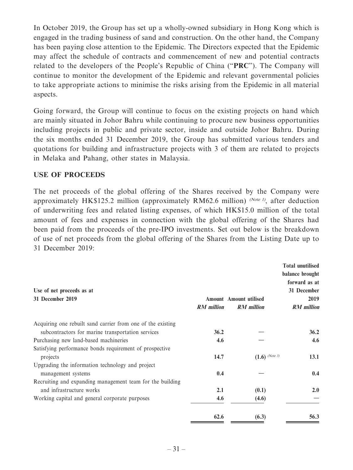In October 2019, the Group has set up a wholly-owned subsidiary in Hong Kong which is engaged in the trading business of sand and construction. On the other hand, the Company has been paying close attention to the Epidemic. The Directors expected that the Epidemic may affect the schedule of contracts and commencement of new and potential contracts related to the developers of the People's Republic of China ("**PRC**"). The Company will continue to monitor the development of the Epidemic and relevant governmental policies to take appropriate actions to minimise the risks arising from the Epidemic in all material aspects.

Going forward, the Group will continue to focus on the existing projects on hand which are mainly situated in Johor Bahru while continuing to procure new business opportunities including projects in public and private sector, inside and outside Johor Bahru. During the six months ended 31 December 2019, the Group has submitted various tenders and quotations for building and infrastructure projects with 3 of them are related to projects in Melaka and Pahang, other states in Malaysia.

# **USE OF PROCEEDS**

The net proceeds of the global offering of the Shares received by the Company were approximately HK\$125.2 million (approximately RM62.6 million) (Note 1), after deduction of underwriting fees and related listing expenses, of which HK\$15.0 million of the total amount of fees and expenses in connection with the global offering of the Shares had been paid from the proceeds of the pre-IPO investments. Set out below is the breakdown of use of net proceeds from the global offering of the Shares from the Listing Date up to 31 December 2019:

| Use of net proceeds as at<br>31 December 2019               | <b>RM</b> million | <b>Amount</b> Amount utilised<br><b>RM</b> million | <b>Total unutilised</b><br>balance brought<br>forward as at<br>31 December<br>2019<br><b>RM</b> million |
|-------------------------------------------------------------|-------------------|----------------------------------------------------|---------------------------------------------------------------------------------------------------------|
| Acquiring one rebuilt sand carrier from one of the existing |                   |                                                    |                                                                                                         |
| subcontractors for marine transportation services           | 36.2              |                                                    | 36.2                                                                                                    |
| Purchasing new land-based machineries                       | 4.6               |                                                    | 4.6                                                                                                     |
| Satisfying performance bonds requirement of prospective     |                   |                                                    |                                                                                                         |
| projects                                                    | 14.7              | $(1.6)$ (Note 3)                                   | 13.1                                                                                                    |
| Upgrading the information technology and project            |                   |                                                    |                                                                                                         |
| management systems                                          | 0.4               |                                                    | 0.4                                                                                                     |
| Recruiting and expanding management team for the building   |                   |                                                    |                                                                                                         |
| and infrastructure works                                    | 2.1               | (0.1)                                              | 2.0                                                                                                     |
| Working capital and general corporate purposes              | 4.6               | (4.6)                                              |                                                                                                         |
|                                                             | 62.6              | (6.3)                                              | 56.3                                                                                                    |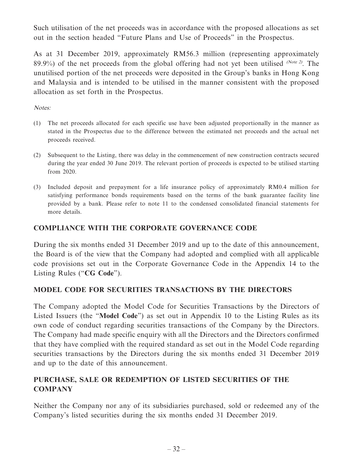Such utilisation of the net proceeds was in accordance with the proposed allocations as set out in the section headed "Future Plans and Use of Proceeds" in the Prospectus.

As at 31 December 2019, approximately RM56.3 million (representing approximately 89.9%) of the net proceeds from the global offering had not yet been utilised (Note 2). The unutilised portion of the net proceeds were deposited in the Group's banks in Hong Kong and Malaysia and is intended to be utilised in the manner consistent with the proposed allocation as set forth in the Prospectus.

Notes:

- (1) The net proceeds allocated for each specific use have been adjusted proportionally in the manner as stated in the Prospectus due to the difference between the estimated net proceeds and the actual net proceeds received.
- (2) Subsequent to the Listing, there was delay in the commencement of new construction contracts secured during the year ended 30 June 2019. The relevant portion of proceeds is expected to be utilised starting from 2020.
- (3) Included deposit and prepayment for a life insurance policy of approximately RM0.4 million for satisfying performance bonds requirements based on the terms of the bank guarantee facility line provided by a bank. Please refer to note 11 to the condensed consolidated financial statements for more details.

# **COMPLIANCE WITH THE CORPORATE GOVERNANCE CODE**

During the six months ended 31 December 2019 and up to the date of this announcement, the Board is of the view that the Company had adopted and complied with all applicable code provisions set out in the Corporate Governance Code in the Appendix 14 to the Listing Rules ("**CG Code**").

# **MODEL CODE FOR SECURITIES TRANSACTIONS BY THE DIRECTORS**

The Company adopted the Model Code for Securities Transactions by the Directors of Listed Issuers (the "**Model Code**") as set out in Appendix 10 to the Listing Rules as its own code of conduct regarding securities transactions of the Company by the Directors. The Company had made specific enquiry with all the Directors and the Directors confirmed that they have complied with the required standard as set out in the Model Code regarding securities transactions by the Directors during the six months ended 31 December 2019 and up to the date of this announcement.

# **PURCHASE, SALE OR REDEMPTION OF LISTED SECURITIES OF THE COMPANY**

Neither the Company nor any of its subsidiaries purchased, sold or redeemed any of the Company's listed securities during the six months ended 31 December 2019.